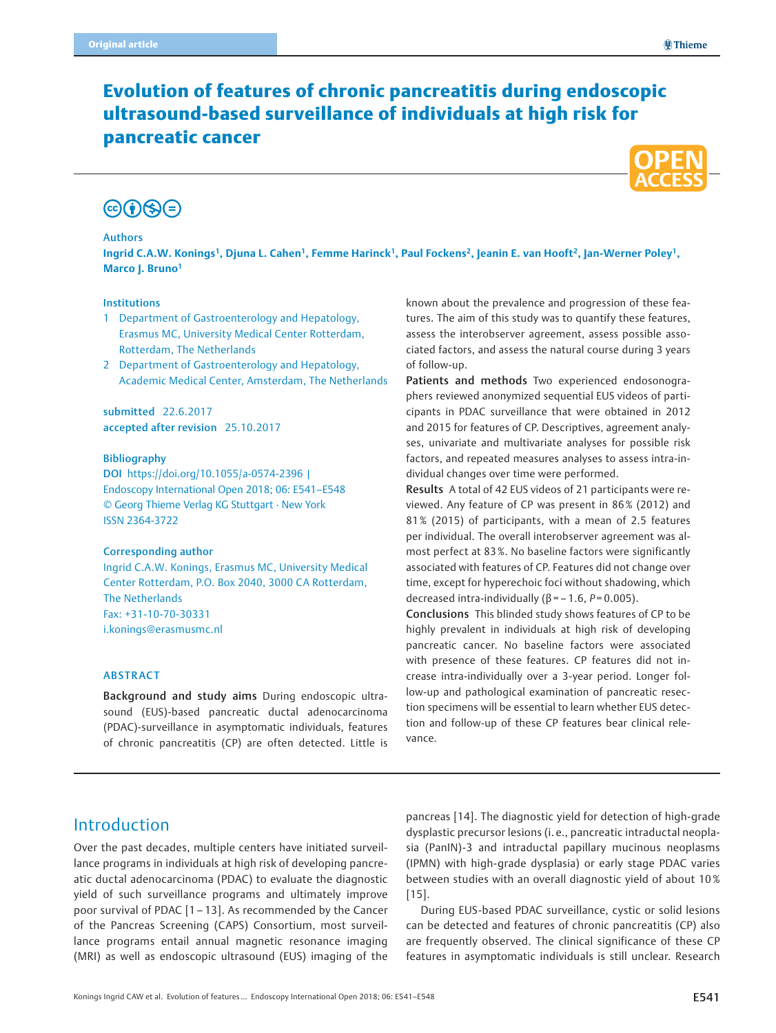# Evolution of features of chronic pancreatitis during endoscopic ultrasound-based surveillance of individuals at high risk for pancreatic cancer



# $\textcircled{\tiny{\textcircled{\tiny{F}}}}$

#### Authors

Ingrid C.A.W. Konings<sup>1</sup>, Djuna L. Cahen<sup>1</sup>, Femme Harinck<sup>1</sup>, Paul Fockens<sup>2</sup>, Jeanin E. van Hooft<sup>2</sup>, Jan-Werner Poley<sup>1</sup>, Marco J. Bruno<sup>1</sup>

### Institutions

- 1 Department of Gastroenterology and Hepatology, Erasmus MC, University Medical Center Rotterdam, Rotterdam, The Netherlands
- 2 Department of Gastroenterology and Hepatology, Academic Medical Center, Amsterdam, The Netherlands

## submitted 22.6.2017 accepted after revision 25.10.2017

#### Bibliography

DOI https://doi.org/10.1055/a-0574-2396 | Endoscopy International Open 2018; 06: E541–E548 © Georg Thieme Verlag KG Stuttgart · New York ISSN 2364-3722

### Corresponding author

Ingrid C.A.W. Konings, Erasmus MC, University Medical Center Rotterdam, P.O. Box 2040, 3000 CA Rotterdam, The Netherlands Fax: +31-10-70-30331 i.konings@erasmusmc.nl

### ABSTRACT

Background and study aims During endoscopic ultrasound (EUS)-based pancreatic ductal adenocarcinoma (PDAC)-surveillance in asymptomatic individuals, features of chronic pancreatitis (CP) are often detected. Little is

known about the prevalence and progression of these features. The aim of this study was to quantify these features, assess the interobserver agreement, assess possible associated factors, and assess the natural course during 3 years of follow-up.

Patients and methods Two experienced endosonographers reviewed anonymized sequential EUS videos of participants in PDAC surveillance that were obtained in 2012 and 2015 for features of CP. Descriptives, agreement analyses, univariate and multivariate analyses for possible risk factors, and repeated measures analyses to assess intra-individual changes over time were performed.

Results A total of 42 EUS videos of 21 participants were reviewed. Any feature of CP was present in 86 % (2012) and 81 % (2015) of participants, with a mean of 2.5 features per individual. The overall interobserver agreement was almost perfect at 83 %. No baseline factors were significantly associated with features of CP. Features did not change over time, except for hyperechoic foci without shadowing, which decreased intra-individually ( $\beta$  = – 1.6, P = 0.005).

Conclusions This blinded study shows features of CP to be highly prevalent in individuals at high risk of developing pancreatic cancer. No baseline factors were associated with presence of these features. CP features did not increase intra-individually over a 3-year period. Longer follow-up and pathological examination of pancreatic resection specimens will be essential to learn whether EUS detection and follow-up of these CP features bear clinical relevance.

# Introduction

Over the past decades, multiple centers have initiated surveillance programs in individuals at high risk of developing pancreatic ductal adenocarcinoma (PDAC) to evaluate the diagnostic yield of such surveillance programs and ultimately improve poor survival of PDAC [1 – 13]. As recommended by the Cancer of the Pancreas Screening (CAPS) Consortium, most surveillance programs entail annual magnetic resonance imaging (MRI) as well as endoscopic ultrasound (EUS) imaging of the

pancreas [14]. The diagnostic yield for detection of high-grade dysplastic precursor lesions (i. e., pancreatic intraductal neoplasia (PanIN)-3 and intraductal papillary mucinous neoplasms (IPMN) with high-grade dysplasia) or early stage PDAC varies between studies with an overall diagnostic yield of about 10 % [15].

During EUS-based PDAC surveillance, cystic or solid lesions can be detected and features of chronic pancreatitis (CP) also are frequently observed. The clinical significance of these CP features in asymptomatic individuals is still unclear. Research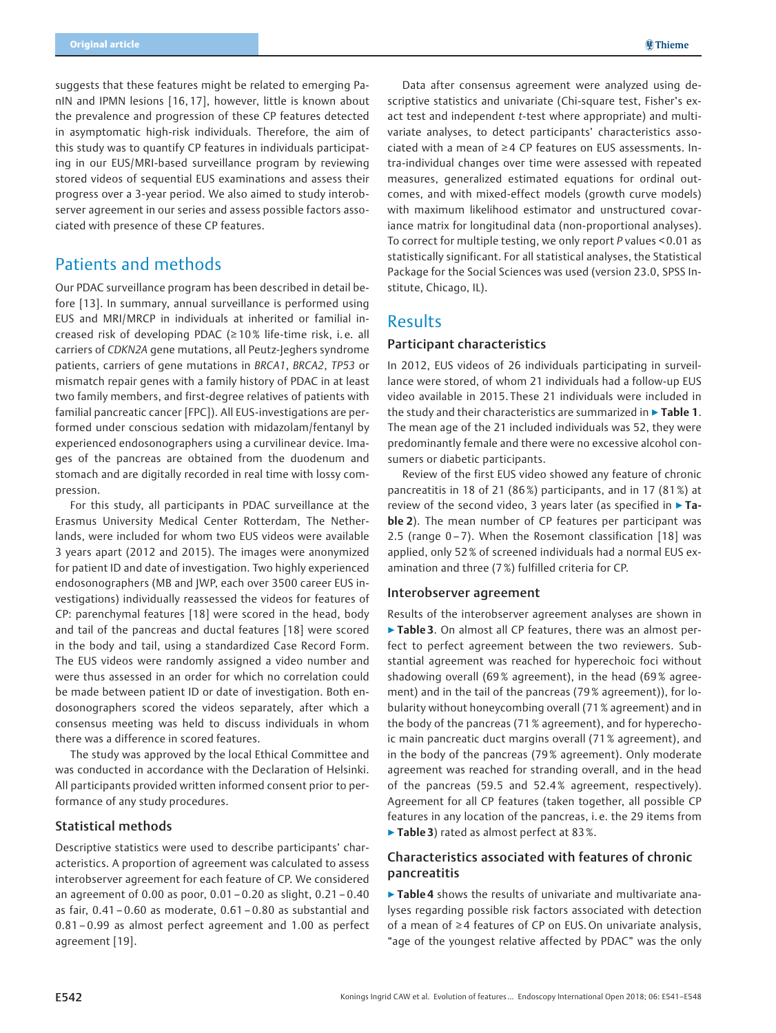suggests that these features might be related to emerging PanIN and IPMN lesions [16, 17], however, little is known about the prevalence and progression of these CP features detected in asymptomatic high-risk individuals. Therefore, the aim of this study was to quantify CP features in individuals participating in our EUS/MRI-based surveillance program by reviewing stored videos of sequential EUS examinations and assess their progress over a 3-year period. We also aimed to study interobserver agreement in our series and assess possible factors associated with presence of these CP features.

# Patients and methods

Our PDAC surveillance program has been described in detail before [13]. In summary, annual surveillance is performed using EUS and MRI/MRCP in individuals at inherited or familial increased risk of developing PDAC (≥ 10 % life-time risk, i. e. all carriers of CDKN2A gene mutations, all Peutz-Jeghers syndrome patients, carriers of gene mutations in BRCA1, BRCA2, TP53 or mismatch repair genes with a family history of PDAC in at least two family members, and first-degree relatives of patients with familial pancreatic cancer [FPC]). All EUS-investigations are performed under conscious sedation with midazolam/fentanyl by experienced endosonographers using a curvilinear device. Images of the pancreas are obtained from the duodenum and stomach and are digitally recorded in real time with lossy compression.

For this study, all participants in PDAC surveillance at the Erasmus University Medical Center Rotterdam, The Netherlands, were included for whom two EUS videos were available 3 years apart (2012 and 2015). The images were anonymized for patient ID and date of investigation. Two highly experienced endosonographers (MB and JWP, each over 3500 career EUS investigations) individually reassessed the videos for features of CP: parenchymal features [18] were scored in the head, body and tail of the pancreas and ductal features [18] were scored in the body and tail, using a standardized Case Record Form. The EUS videos were randomly assigned a video number and were thus assessed in an order for which no correlation could be made between patient ID or date of investigation. Both endosonographers scored the videos separately, after which a consensus meeting was held to discuss individuals in whom there was a difference in scored features.

The study was approved by the local Ethical Committee and was conducted in accordance with the Declaration of Helsinki. All participants provided written informed consent prior to performance of any study procedures.

### Statistical methods

Descriptive statistics were used to describe participants' characteristics. A proportion of agreement was calculated to assess interobserver agreement for each feature of CP. We considered an agreement of 0.00 as poor, 0.01 – 0.20 as slight, 0.21 – 0.40 as fair, 0.41 – 0.60 as moderate, 0.61 – 0.80 as substantial and 0.81 – 0.99 as almost perfect agreement and 1.00 as perfect agreement [19].

Data after consensus agreement were analyzed using descriptive statistics and univariate (Chi-square test, Fisher's exact test and independent t-test where appropriate) and multivariate analyses, to detect participants' characteristics associated with a mean of ≥ 4 CP features on EUS assessments. Intra-individual changes over time were assessed with repeated measures, generalized estimated equations for ordinal outcomes, and with mixed-effect models (growth curve models) with maximum likelihood estimator and unstructured covariance matrix for longitudinal data (non-proportional analyses). To correct for multiple testing, we only report P values < 0.01 as statistically significant. For all statistical analyses, the Statistical Package for the Social Sciences was used (version 23.0, SPSS Institute, Chicago, IL).

# Results

# Participant characteristics

In 2012, EUS videos of 26 individuals participating in surveillance were stored, of whom 21 individuals had a follow-up EUS video available in 2015. These 21 individuals were included in the study and their characteristics are summarized in  $\triangleright$  Table 1. The mean age of the 21 included individuals was 52, they were predominantly female and there were no excessive alcohol consumers or diabetic participants.

Review of the first EUS video showed any feature of chronic pancreatitis in 18 of 21 (86%) participants, and in 17 (81 %) at review of the second video, 3 years later (as specified in  $\triangleright$  Table 2). The mean number of CP features per participant was 2.5 (range  $0 - 7$ ). When the Rosemont classification [18] was applied, only 52 % of screened individuals had a normal EUS examination and three (7 %) fulfilled criteria for CP.

#### Interobserver agreement

Results of the interobserver agreement analyses are shown in ▶ Table 3. On almost all CP features, there was an almost perfect to perfect agreement between the two reviewers. Substantial agreement was reached for hyperechoic foci without shadowing overall (69 % agreement), in the head (69 % agreement) and in the tail of the pancreas (79 % agreement)), for lobularity without honeycombing overall (71 % agreement) and in the body of the pancreas (71 % agreement), and for hyperechoic main pancreatic duct margins overall (71 % agreement), and in the body of the pancreas (79 % agreement). Only moderate agreement was reached for stranding overall, and in the head of the pancreas (59.5 and 52.4 % agreement, respectively). Agreement for all CP features (taken together, all possible CP features in any location of the pancreas, i. e. the 29 items from ▶ Table 3) rated as almost perfect at 83%.

## Characteristics associated with features of chronic pancreatitis

▶ Table 4 shows the results of univariate and multivariate analyses regarding possible risk factors associated with detection of a mean of ≥ 4 features of CP on EUS. On univariate analysis, "age of the youngest relative affected by PDAC" was the only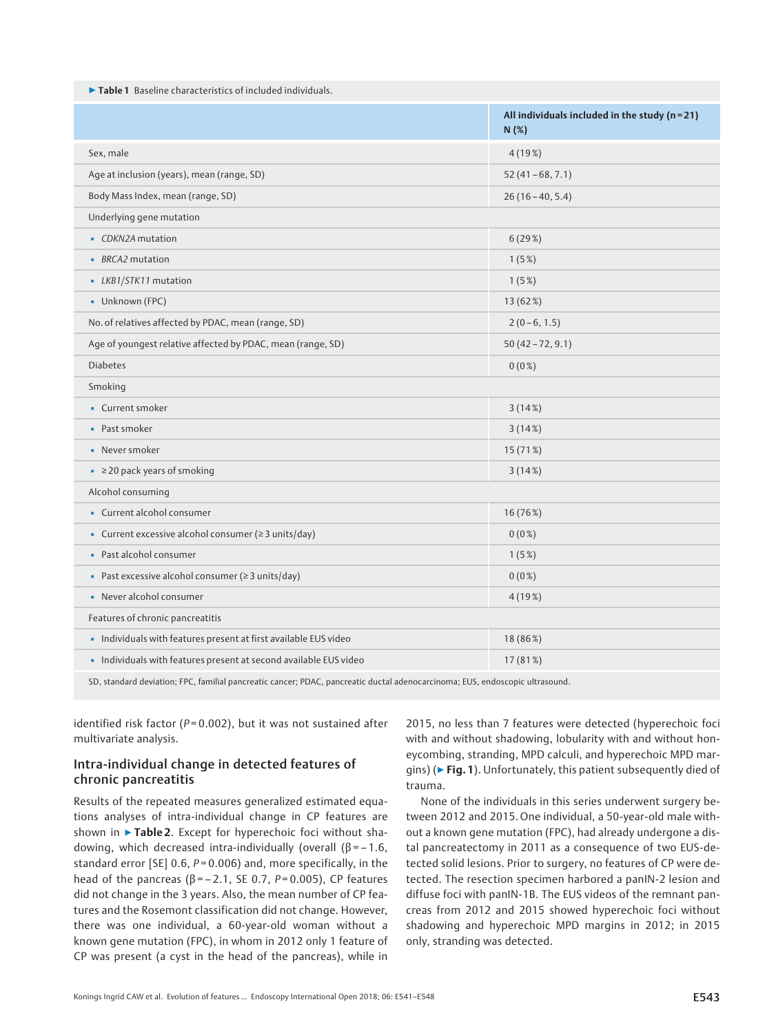### ▶ Table 1 Baseline characteristics of included individuals.

|                                                                   | All individuals included in the study ( $n = 21$ )<br>N(%) |  |  |  |  |
|-------------------------------------------------------------------|------------------------------------------------------------|--|--|--|--|
| Sex, male                                                         | 4(19%)                                                     |  |  |  |  |
| Age at inclusion (years), mean (range, SD)                        | $52(41 - 68, 7.1)$                                         |  |  |  |  |
| Body Mass Index, mean (range, SD)                                 | $26(16-40, 5.4)$                                           |  |  |  |  |
| Underlying gene mutation                                          |                                                            |  |  |  |  |
| • CDKN2A mutation                                                 | 6(29%)                                                     |  |  |  |  |
| • BRCA2 mutation                                                  | 1(5%)                                                      |  |  |  |  |
| - LKB1/STK11 mutation                                             | 1(5%)                                                      |  |  |  |  |
| • Unknown (FPC)                                                   | 13 (62%)                                                   |  |  |  |  |
| No. of relatives affected by PDAC, mean (range, SD)               | $2(0-6, 1.5)$                                              |  |  |  |  |
| Age of youngest relative affected by PDAC, mean (range, SD)       | $50(42 - 72, 9.1)$                                         |  |  |  |  |
| <b>Diabetes</b>                                                   | $0(0\%)$                                                   |  |  |  |  |
| Smoking                                                           |                                                            |  |  |  |  |
| • Current smoker                                                  | 3(14%)                                                     |  |  |  |  |
| • Past smoker                                                     | 3(14%)                                                     |  |  |  |  |
| • Never smoker                                                    | 15 (71%)                                                   |  |  |  |  |
| $\ge$ 20 pack years of smoking                                    | 3(14%)                                                     |  |  |  |  |
| Alcohol consuming                                                 |                                                            |  |  |  |  |
| • Current alcohol consumer                                        | 16 (76%)                                                   |  |  |  |  |
| • Current excessive alcohol consumer ( $\geq$ 3 units/day)        | $0(0\%)$                                                   |  |  |  |  |
| · Past alcohol consumer                                           | 1(5%)                                                      |  |  |  |  |
| Past excessive alcohol consumer ( $\geq$ 3 units/day)             | $0(0\%)$                                                   |  |  |  |  |
| • Never alcohol consumer                                          | 4 (19%)                                                    |  |  |  |  |
| Features of chronic pancreatitis                                  |                                                            |  |  |  |  |
| - Individuals with features present at first available EUS video  | 18 (86%)                                                   |  |  |  |  |
| · Individuals with features present at second available EUS video | 17 (81%)                                                   |  |  |  |  |

SD, standard deviation; FPC, familial pancreatic cancer; PDAC, pancreatic ductal adenocarcinoma; EUS, endoscopic ultrasound.

identified risk factor ( $P = 0.002$ ), but it was not sustained after multivariate analysis.

## Intra-individual change in detected features of chronic pancreatitis

Results of the repeated measures generalized estimated equations analyses of intra-individual change in CP features are shown in ► Table 2. Except for hyperechoic foci without shadowing, which decreased intra-individually (overall ( $\beta$  = – 1.6, standard error [SE]  $0.6$ ,  $P = 0.006$ ) and, more specifically, in the head of the pancreas ( $\beta$ = - 2.1, SE 0.7, P=0.005), CP features did not change in the 3 years. Also, the mean number of CP features and the Rosemont classification did not change. However, there was one individual, a 60-year-old woman without a known gene mutation (FPC), in whom in 2012 only 1 feature of CP was present (a cyst in the head of the pancreas), while in

2015, no less than 7 features were detected (hyperechoic foci with and without shadowing, lobularity with and without honeycombing, stranding, MPD calculi, and hyperechoic MPD margins) (► Fig. 1). Unfortunately, this patient subsequently died of trauma.

None of the individuals in this series underwent surgery between 2012 and 2015. One individual, a 50-year-old male without a known gene mutation (FPC), had already undergone a distal pancreatectomy in 2011 as a consequence of two EUS-detected solid lesions. Prior to surgery, no features of CP were detected. The resection specimen harbored a panIN-2 lesion and diffuse foci with panIN-1B. The EUS videos of the remnant pancreas from 2012 and 2015 showed hyperechoic foci without shadowing and hyperechoic MPD margins in 2012; in 2015 only, stranding was detected.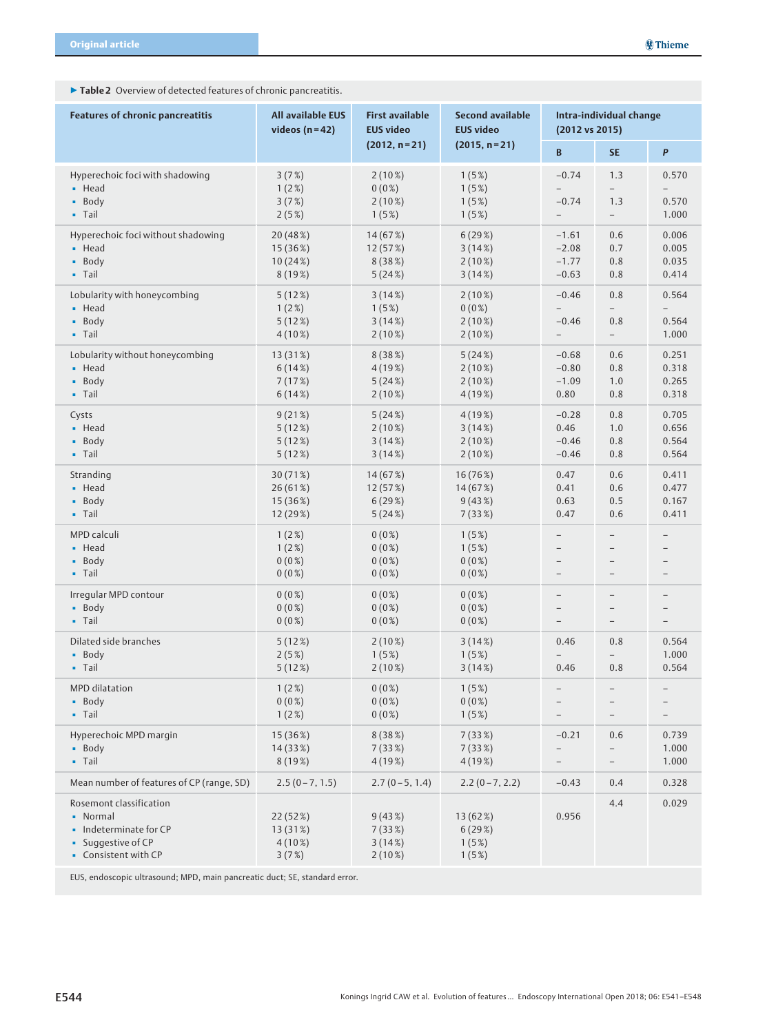▶ Table 2 Overview of detected features of chronic pancreatitis.

| <b>Features of chronic pancreatitis</b>                                                                     | All available EUS<br>videos ( $n = 42$ )     | <b>First available</b><br><b>EUS video</b>   | <b>Second available</b><br><b>EUS video</b>     | Intra-individual change<br>(2012 vs 2015)                                  |                                                                                                |                                                     |
|-------------------------------------------------------------------------------------------------------------|----------------------------------------------|----------------------------------------------|-------------------------------------------------|----------------------------------------------------------------------------|------------------------------------------------------------------------------------------------|-----------------------------------------------------|
|                                                                                                             | $(2015, n=21)$<br>$(2012, n=21)$             |                                              |                                                 | B                                                                          | <b>SE</b>                                                                                      | $\boldsymbol{P}$                                    |
| Hyperechoic foci with shadowing<br>- Head<br>Body<br>$-$ Tail                                               | 3(7%)<br>1(2%)<br>3(7%)<br>2(5%)             | $2(10\%)$<br>$0(0\%)$<br>$2(10\%)$<br>1(5%)  | 1(5%)<br>1(5%)<br>1(5%)<br>1(5%)                | $-0.74$<br>$-0.74$<br>$\overline{\phantom{a}}$                             | 1.3<br>$\overline{\phantom{0}}$<br>1.3<br>$\overline{\phantom{a}}$                             | 0.570<br>0.570<br>1.000                             |
| Hyperechoic foci without shadowing<br>- Head<br>- Body<br>- Tail                                            | 20 (48%)<br>15 (36%)<br>10(24%)<br>8(19%)    | 14 (67%)<br>12(57%)<br>8(38%)<br>5(24%)      | 6(29%)<br>3(14%)<br>$2(10\%)$<br>3(14%)         | $-1.61$<br>$-2.08$<br>$-1.77$<br>$-0.63$                                   | 0.6<br>0.7<br>0.8<br>0.8                                                                       | 0.006<br>0.005<br>0.035<br>0.414                    |
| Lobularity with honeycombing<br>- Head<br>- Body<br>- Tail                                                  | 5(12%)<br>1(2%)<br>5(12%)<br>$4(10\%)$       | 3(14%)<br>1(5%)<br>3(14%)<br>$2(10\%)$       | $2(10\%)$<br>$0(0\%)$<br>$2(10\%)$<br>$2(10\%)$ | $-0.46$<br>$\overline{\phantom{0}}$<br>$-0.46$<br>$\overline{\phantom{0}}$ | 0.8<br>$\overline{\phantom{0}}$<br>0.8<br>$\overline{\phantom{0}}$                             | 0.564<br>$\overline{\phantom{a}}$<br>0.564<br>1.000 |
| Lobularity without honeycombing<br>- Head<br>- Body<br>- Tail                                               | 13 (31%)<br>6(14%)<br>7(17%)<br>6(14%)       | 8(38%)<br>4(19%)<br>5(24%)<br>$2(10\%)$      | 5(24%)<br>$2(10\%)$<br>$2(10\%)$<br>4(19%)      | $-0.68$<br>$-0.80$<br>$-1.09$<br>0.80                                      | 0.6<br>0.8<br>1.0<br>0.8                                                                       | 0.251<br>0.318<br>0.265<br>0.318                    |
| Cysts<br>- Head<br>- Body<br>- Tail                                                                         | 9(21%)<br>5(12%)<br>5(12%)<br>5(12%)         | 5(24%)<br>$2(10\%)$<br>3(14%)<br>3(14%)      | 4(19%)<br>3(14%)<br>$2(10\%)$<br>$2(10\%)$      | $-0.28$<br>0.46<br>$-0.46$<br>$-0.46$                                      | 0.8<br>1.0<br>0.8<br>0.8                                                                       | 0.705<br>0.656<br>0.564<br>0.564                    |
| Stranding<br>- Head<br>- Body<br>- Tail                                                                     | 30 (71%)<br>26 (61%)<br>15 (36%)<br>12 (29%) | 14(67%)<br>12 (57%)<br>6(29%)<br>5(24%)      | 16(76%)<br>14(67%)<br>9(43%)<br>7(33%)          | 0.47<br>0.41<br>0.63<br>0.47                                               | 0.6<br>0.6<br>0.5<br>0.6                                                                       | 0.411<br>0.477<br>0.167<br>0.411                    |
| MPD calculi<br>- Head<br>• Body<br>$-$ Tail                                                                 | 1(2%)<br>1(2%)<br>$0(0\%)$<br>$0(0\%)$       | $0(0\%)$<br>$0(0\%)$<br>$0(0\%)$<br>$0(0\%)$ | 1(5%)<br>1(5%)<br>$0(0\%)$<br>$0(0\%)$          | $\qquad \qquad -$                                                          | $\qquad \qquad -$<br>$\qquad \qquad -$<br>$\overline{\phantom{0}}$<br>$\overline{\phantom{0}}$ | $\qquad \qquad -$<br>$\qquad \qquad -$              |
| Irregular MPD contour<br>- Body<br>- Tail                                                                   | $0(0\%)$<br>$0(0\%)$<br>$0(0\%)$             | $0(0\%)$<br>$0(0\%)$<br>$0(0\%)$             | $0(0\%)$<br>$0(0\%)$<br>$0(0\%)$                | $\qquad \qquad -$<br>$\overline{\phantom{a}}$                              | $\overline{\phantom{0}}$<br>$\overline{\phantom{0}}$<br>$\qquad \qquad -$                      | $\qquad \qquad -$<br>$\qquad \qquad -$              |
| Dilated side branches<br>- Body<br>$-$ Tail                                                                 | 5(12%)<br>2(5%)<br>5(12%)                    | $2(10\%)$<br>1(5%)<br>$2(10\%)$              | 3(14%)<br>1(5%)<br>3(14%)                       | 0.46<br>0.46                                                               | 0.8<br>0.8                                                                                     | 0.564<br>1.000<br>0.564                             |
| MPD dilatation<br>- Body<br>- Tail                                                                          | 1(2%)<br>$0(0\%)$<br>1(2%)                   | $0(0\%)$<br>$0(0\%)$<br>$0(0\%)$             | 1(5%)<br>$0(0\%)$<br>1(5%)                      |                                                                            | $\qquad \qquad -$                                                                              |                                                     |
| Hyperechoic MPD margin<br>- Body<br>- Tail                                                                  | 15 (36%)<br>14 (33%)<br>8(19%)               | 8(38%)<br>7(33%)<br>4(19%)                   | 7(33%)<br>7(33%)<br>4(19%)                      | $-0.21$<br>$\overline{\phantom{a}}$                                        | 0.6<br>$\qquad \qquad -$                                                                       | 0.739<br>1.000<br>1.000                             |
| Mean number of features of CP (range, SD)                                                                   | $2.5(0 - 7, 1.5)$                            | $2.7(0-5, 1.4)$                              | $2.2(0 - 7, 2.2)$                               | $-0.43$                                                                    | 0.4                                                                                            | 0.328                                               |
| Rosemont classification<br>- Normal<br>· Indeterminate for CP<br>• Suggestive of CP<br>• Consistent with CP | 22 (52%)<br>13 (31%)<br>$4(10\%)$<br>3(7%)   | 9(43%)<br>7 (33%)<br>3(14%)<br>$2(10\%)$     | 13(62%)<br>6(29%)<br>1(5%)<br>1(5%)             | 0.956                                                                      | 4.4                                                                                            | 0.029                                               |

EUS, endoscopic ultrasound; MPD, main pancreatic duct; SE, standard error.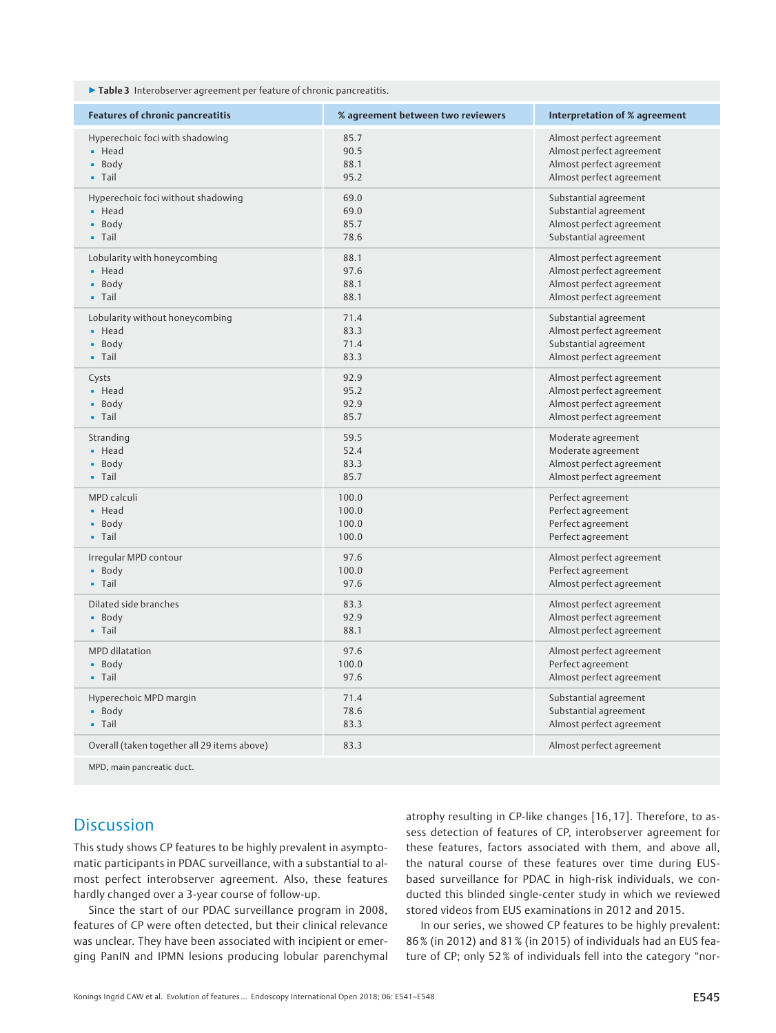▶ Table 3 Interobserver agreement per feature of chronic pancreatitis.

| <b>Features of chronic pancreatitis</b>     | % agreement between two reviewers | Interpretation of % agreement |
|---------------------------------------------|-----------------------------------|-------------------------------|
| Hyperechoic foci with shadowing             | 85.7                              | Almost perfect agreement      |
| • Head                                      | 90.5                              | Almost perfect agreement      |
| Body                                        | 88.1                              | Almost perfect agreement      |
| $-$ Tail                                    | 95.2                              | Almost perfect agreement      |
| Hyperechoic foci without shadowing          | 69.0                              | Substantial agreement         |
| - Head                                      | 69.0                              | Substantial agreement         |
| $-$ Body                                    | 85.7                              | Almost perfect agreement      |
| $-$ Tail                                    | 78.6                              | Substantial agreement         |
| Lobularity with honeycombing                | 88.1                              | Almost perfect agreement      |
| - Head                                      | 97.6                              | Almost perfect agreement      |
| - Body                                      | 88.1                              | Almost perfect agreement      |
| • Tail                                      | 88.1                              | Almost perfect agreement      |
| Lobularity without honeycombing             | 71.4                              | Substantial agreement         |
| - Head                                      | 83.3                              | Almost perfect agreement      |
| - Body                                      | 71.4                              | Substantial agreement         |
| • Tail                                      | 83.3                              | Almost perfect agreement      |
| Cysts                                       | 92.9                              | Almost perfect agreement      |
| - Head                                      | 95.2                              | Almost perfect agreement      |
| - Body                                      | 92.9                              | Almost perfect agreement      |
| - Tail                                      | 85.7                              | Almost perfect agreement      |
| Stranding                                   | 59.5                              | Moderate agreement            |
| • Head                                      | 52.4                              | Moderate agreement            |
| • Body                                      | 83.3                              | Almost perfect agreement      |
| • Tail                                      | 85.7                              | Almost perfect agreement      |
| MPD calculi                                 | 100.0                             | Perfect agreement             |
| • Head                                      | 100.0                             | Perfect agreement             |
| • Body                                      | 100.0                             | Perfect agreement             |
| $-$ Tail                                    | 100.0                             | Perfect agreement             |
| Irregular MPD contour                       | 97.6                              | Almost perfect agreement      |
| - Body                                      | 100.0                             | Perfect agreement             |
| $-$ Tail                                    | 97.6                              | Almost perfect agreement      |
| Dilated side branches                       | 83.3                              | Almost perfect agreement      |
| $-$ Body                                    | 92.9                              | Almost perfect agreement      |
| • Tail                                      | 88.1                              | Almost perfect agreement      |
| <b>MPD</b> dilatation                       | 97.6                              | Almost perfect agreement      |
| $-$ Body                                    | 100.0                             | Perfect agreement             |
| $-$ Tail                                    | 97.6                              | Almost perfect agreement      |
| Hyperechoic MPD margin                      | 71.4                              | Substantial agreement         |
| - Body                                      | 78.6                              | Substantial agreement         |
| - Tail                                      | 83.3                              | Almost perfect agreement      |
| Overall (taken together all 29 items above) | 83.3                              | Almost perfect agreement      |

MPD, main pancreatic duct.

# **Discussion**

This study shows CP features to be highly prevalent in asymptomatic participants in PDAC surveillance, with a substantial to almost perfect interobserver agreement. Also, these features hardly changed over a 3-year course of follow-up.

Since the start of our PDAC surveillance program in 2008, features of CP were often detected, but their clinical relevance was unclear. They have been associated with incipient or emerging PanIN and IPMN lesions producing lobular parenchymal atrophy resulting in CP-like changes [16, 17]. Therefore, to assess detection of features of CP, interobserver agreement for these features, factors associated with them, and above all, the natural course of these features over time during EUSbased surveillance for PDAC in high-risk individuals, we conducted this blinded single-center study in which we reviewed stored videos from EUS examinations in 2012 and 2015.

In our series, we showed CP features to be highly prevalent: 86 % (in 2012) and 81 % (in 2015) of individuals had an EUS feature of CP; only 52 % of individuals fell into the category "nor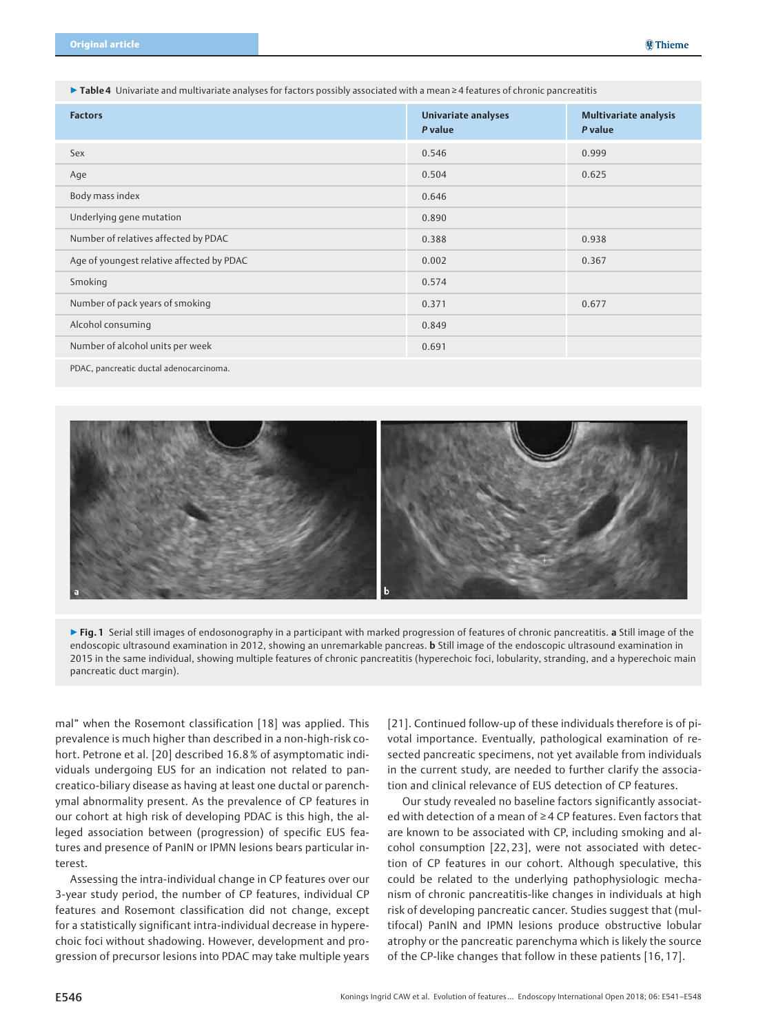▶Table 4 Univariate and multivariate analyses for factors possibly associated with a mean ≥ 4 features of chronic pancreatitis

| <b>Factors</b>                            | <b>Univariate analyses</b><br>P value | <b>Multivariate analysis</b><br>P value |
|-------------------------------------------|---------------------------------------|-----------------------------------------|
| Sex                                       | 0.546                                 | 0.999                                   |
| Age                                       | 0.504                                 | 0.625                                   |
| Body mass index                           | 0.646                                 |                                         |
| Underlying gene mutation                  | 0.890                                 |                                         |
| Number of relatives affected by PDAC      | 0.388                                 | 0.938                                   |
| Age of youngest relative affected by PDAC | 0.002                                 | 0.367                                   |
| Smoking                                   | 0.574                                 |                                         |
| Number of pack years of smoking           | 0.371                                 | 0.677                                   |
| Alcohol consuming                         | 0.849                                 |                                         |
| Number of alcohol units per week          | 0.691                                 |                                         |

PDAC, pancreatic ductal adenocarcinoma.



▶ Fig. 1 Serial still images of endosonography in a participant with marked progression of features of chronic pancreatitis. a Still image of the endoscopic ultrasound examination in 2012, showing an unremarkable pancreas. b Still image of the endoscopic ultrasound examination in 2015 in the same individual, showing multiple features of chronic pancreatitis (hyperechoic foci, lobularity, stranding, and a hyperechoic main pancreatic duct margin).

mal" when the Rosemont classification [18] was applied. This prevalence is much higher than described in a non-high-risk cohort. Petrone et al. [20] described 16.8 % of asymptomatic individuals undergoing EUS for an indication not related to pancreatico-biliary disease as having at least one ductal or parenchymal abnormality present. As the prevalence of CP features in our cohort at high risk of developing PDAC is this high, the alleged association between (progression) of specific EUS features and presence of PanIN or IPMN lesions bears particular interest.

Assessing the intra-individual change in CP features over our 3-year study period, the number of CP features, individual CP features and Rosemont classification did not change, except for a statistically significant intra-individual decrease in hyperechoic foci without shadowing. However, development and progression of precursor lesions into PDAC may take multiple years

[21]. Continued follow-up of these individuals therefore is of pivotal importance. Eventually, pathological examination of resected pancreatic specimens, not yet available from individuals in the current study, are needed to further clarify the association and clinical relevance of EUS detection of CP features.

Our study revealed no baseline factors significantly associated with detection of a mean of ≥ 4 CP features. Even factors that are known to be associated with CP, including smoking and alcohol consumption [22, 23], were not associated with detection of CP features in our cohort. Although speculative, this could be related to the underlying pathophysiologic mechanism of chronic pancreatitis-like changes in individuals at high risk of developing pancreatic cancer. Studies suggest that (multifocal) PanIN and IPMN lesions produce obstructive lobular atrophy or the pancreatic parenchyma which is likely the source of the CP-like changes that follow in these patients [16, 17].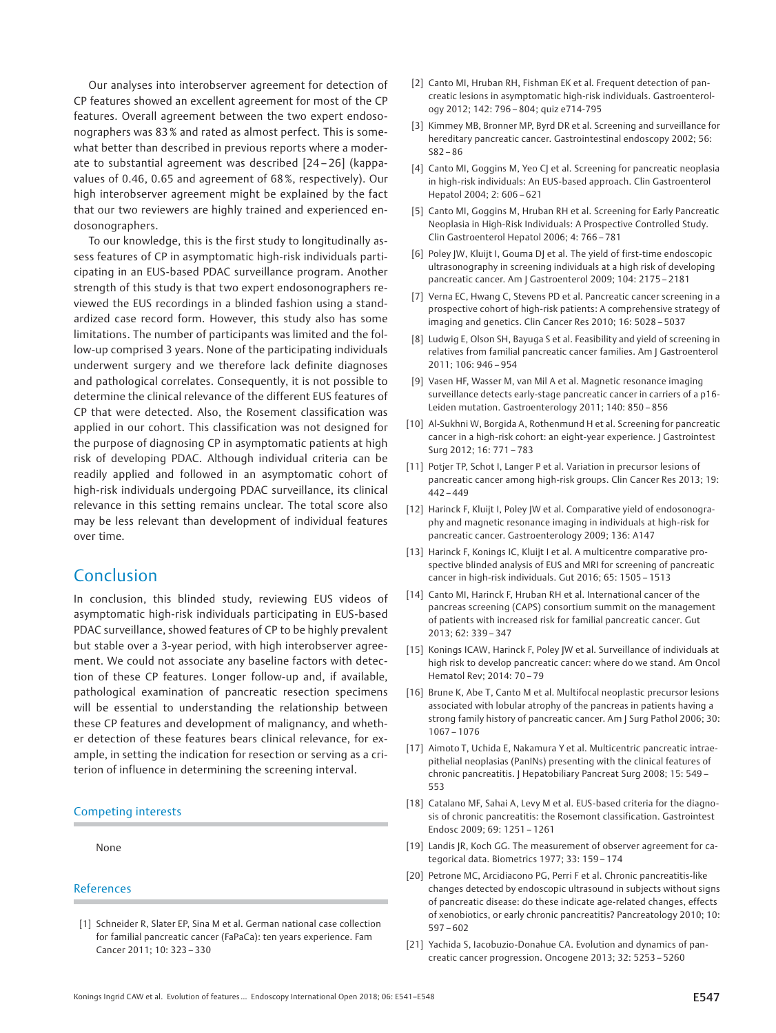Our analyses into interobserver agreement for detection of CP features showed an excellent agreement for most of the CP features. Overall agreement between the two expert endosonographers was 83 % and rated as almost perfect. This is somewhat better than described in previous reports where a moderate to substantial agreement was described [24 – 26] (kappavalues of 0.46, 0.65 and agreement of 68 %, respectively). Our high interobserver agreement might be explained by the fact that our two reviewers are highly trained and experienced endosonographers.

To our knowledge, this is the first study to longitudinally assess features of CP in asymptomatic high-risk individuals participating in an EUS-based PDAC surveillance program. Another strength of this study is that two expert endosonographers reviewed the EUS recordings in a blinded fashion using a standardized case record form. However, this study also has some limitations. The number of participants was limited and the follow-up comprised 3 years. None of the participating individuals underwent surgery and we therefore lack definite diagnoses and pathological correlates. Consequently, it is not possible to determine the clinical relevance of the different EUS features of CP that were detected. Also, the Rosement classification was applied in our cohort. This classification was not designed for the purpose of diagnosing CP in asymptomatic patients at high risk of developing PDAC. Although individual criteria can be readily applied and followed in an asymptomatic cohort of high-risk individuals undergoing PDAC surveillance, its clinical relevance in this setting remains unclear. The total score also may be less relevant than development of individual features over time.

# Conclusion

In conclusion, this blinded study, reviewing EUS videos of asymptomatic high-risk individuals participating in EUS-based PDAC surveillance, showed features of CP to be highly prevalent but stable over a 3-year period, with high interobserver agreement. We could not associate any baseline factors with detection of these CP features. Longer follow-up and, if available, pathological examination of pancreatic resection specimens will be essential to understanding the relationship between these CP features and development of malignancy, and whether detection of these features bears clinical relevance, for example, in setting the indication for resection or serving as a criterion of influence in determining the screening interval.

### Competing interests

None

#### References

[1] Schneider R, Slater EP, Sina M et al. German national case collection for familial pancreatic cancer (FaPaCa): ten years experience. Fam Cancer 2011; 10: 323 – 330

- [2] Canto MI, Hruban RH, Fishman EK et al. Frequent detection of pancreatic lesions in asymptomatic high-risk individuals. Gastroenterology 2012; 142: 796 – 804; quiz e714-795
- [3] Kimmey MB, Bronner MP, Byrd DR et al. Screening and surveillance for hereditary pancreatic cancer. Gastrointestinal endoscopy 2002; 56: S82 – 86
- [4] Canto MI, Goggins M, Yeo CJ et al. Screening for pancreatic neoplasia in high-risk individuals: An EUS-based approach. Clin Gastroenterol Hepatol 2004; 2: 606 – 621
- [5] Canto MI, Goggins M, Hruban RH et al. Screening for Early Pancreatic Neoplasia in High-Risk Individuals: A Prospective Controlled Study. Clin Gastroenterol Hepatol 2006; 4: 766 – 781
- [6] Poley JW, Kluijt I, Gouma DJ et al. The yield of first-time endoscopic ultrasonography in screening individuals at a high risk of developing pancreatic cancer. Am J Gastroenterol 2009; 104: 2175 – 2181
- [7] Verna EC, Hwang C, Stevens PD et al. Pancreatic cancer screening in a prospective cohort of high-risk patients: A comprehensive strategy of imaging and genetics. Clin Cancer Res 2010; 16: 5028 – 5037
- [8] Ludwig E, Olson SH, Bayuga S et al. Feasibility and yield of screening in relatives from familial pancreatic cancer families. Am J Gastroenterol 2011; 106: 946 – 954
- [9] Vasen HF, Wasser M, van Mil A et al. Magnetic resonance imaging surveillance detects early-stage pancreatic cancer in carriers of a p16- Leiden mutation. Gastroenterology 2011; 140: 850 – 856
- [10] Al-Sukhni W, Borgida A, Rothenmund H et al. Screening for pancreatic cancer in a high-risk cohort: an eight-year experience. | Gastrointest Surg 2012; 16: 771 – 783
- [11] Potjer TP, Schot I, Langer P et al. Variation in precursor lesions of pancreatic cancer among high-risk groups. Clin Cancer Res 2013; 19: 442 – 449
- [12] Harinck F, Kluijt I, Poley JW et al. Comparative yield of endosonography and magnetic resonance imaging in individuals at high-risk for pancreatic cancer. Gastroenterology 2009; 136: A147
- [13] Harinck F, Konings IC, Kluijt I et al. A multicentre comparative prospective blinded analysis of EUS and MRI for screening of pancreatic cancer in high-risk individuals. Gut 2016; 65: 1505 – 1513
- [14] Canto MI, Harinck F, Hruban RH et al. International cancer of the pancreas screening (CAPS) consortium summit on the management of patients with increased risk for familial pancreatic cancer. Gut 2013; 62: 339 – 347
- [15] Konings ICAW, Harinck F, Poley JW et al. Surveillance of individuals at high risk to develop pancreatic cancer: where do we stand. Am Oncol Hematol Rev; 2014: 70 – 79
- [16] Brune K, Abe T, Canto M et al. Multifocal neoplastic precursor lesions associated with lobular atrophy of the pancreas in patients having a strong family history of pancreatic cancer. Am J Surg Pathol 2006; 30: 1067 – 1076
- [17] Aimoto T, Uchida E, Nakamura Y et al. Multicentric pancreatic intraepithelial neoplasias (PanINs) presenting with the clinical features of chronic pancreatitis. J Hepatobiliary Pancreat Surg 2008; 15: 549 – 553
- [18] Catalano MF, Sahai A, Levy M et al. EUS-based criteria for the diagnosis of chronic pancreatitis: the Rosemont classification. Gastrointest Endosc 2009; 69: 1251 – 1261
- [19] Landis JR, Koch GG. The measurement of observer agreement for categorical data. Biometrics 1977; 33: 159 – 174
- [20] Petrone MC, Arcidiacono PG, Perri F et al. Chronic pancreatitis-like changes detected by endoscopic ultrasound in subjects without signs of pancreatic disease: do these indicate age-related changes, effects of xenobiotics, or early chronic pancreatitis? Pancreatology 2010; 10: 597 – 602
- [21] Yachida S, Iacobuzio-Donahue CA. Evolution and dynamics of pancreatic cancer progression. Oncogene 2013; 32: 5253 – 5260